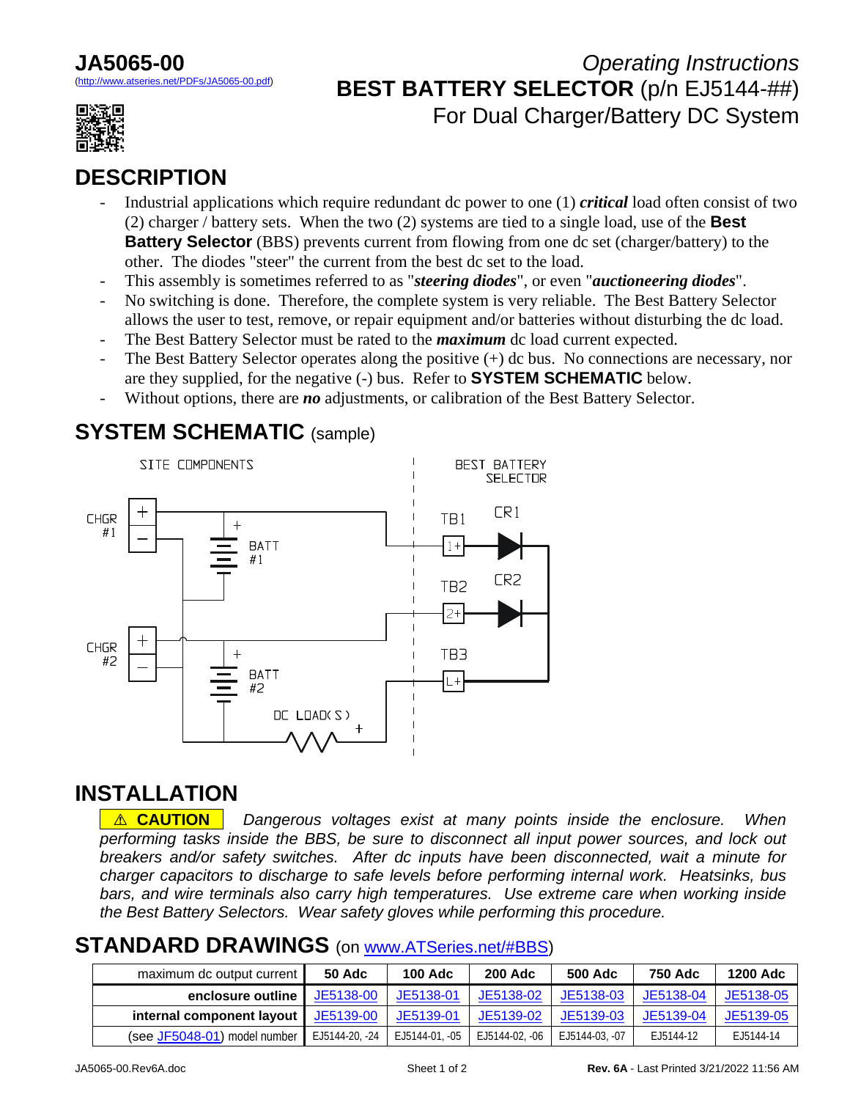# **JA5065-00**

eries.net/PDFs/JA5065-00.pdf)



# *Operating Instructions* **BEST BATTERY SELECTOR** (p/n EJ5144-##) For Dual Charger/Battery DC System

# **DESCRIPTION**

- Industrial applications which require redundant dc power to one (1) *critical* load often consist of two (2) charger / battery sets. When the two (2) systems are tied to a single load, use of the **Best Battery Selector** (BBS) prevents current from flowing from one dc set (charger/battery) to the other. The diodes "steer" the current from the best dc set to the load.
- This assembly is sometimes referred to as "*steering diodes*", or even "*auctioneering diodes*".
- No switching is done. Therefore, the complete system is very reliable. The Best Battery Selector allows the user to test, remove, or repair equipment and/or batteries without disturbing the dc load.
- The Best Battery Selector must be rated to the *maximum* dc load current expected.
- The Best Battery Selector operates along the positive  $(+)$  dc bus. No connections are necessary, nor are they supplied, for the negative (-) bus. Refer to **SYSTEM SCHEMATIC** below.
- Without options, there are *no* adjustments, or calibration of the Best Battery Selector.

#### **SYSTEM SCHEMATIC** (sample)



#### **INSTALLATION**

**A. CAUTION**. Dangerous voltages exist at many points inside the enclosure. When *performing tasks inside the BBS, be sure to disconnect all input power sources, and lock out breakers and/or safety switches. After dc inputs have been disconnected, wait a minute for charger capacitors to discharge to safe levels before performing internal work. Heatsinks, bus*  bars, and wire terminals also carry high temperatures. Use extreme care when working inside *the Best Battery Selectors. Wear safety gloves while performing this procedure.* 

#### **STANDARD DRAWINGS** (on [www.ATSeries.net/#BBS](http://www.atseries.net/#BBS))

| maximum dc output current    | <b>50 Adc</b>  | <b>100 Adc</b> | <b>200 Adc</b> | <b>500 Adc</b> | 750 Adc   | <b>1200 Adc</b> |
|------------------------------|----------------|----------------|----------------|----------------|-----------|-----------------|
| enclosure outline            | JE5138-00      | JE5138-01      | JE5138-02      | JE5138-03      | JE5138-04 | JE5138-05       |
| internal component layout    | JE5139-00      | JE5139-01      | JE5139-02      | JE5139-03      | JE5139-04 | JE5139-05       |
| (see JF5048-01) model number | EJ5144-20, -24 | EJ5144-01, -05 | EJ5144-02, -06 | EJ5144-03, -07 | EJ5144-12 | E.J5144-14      |